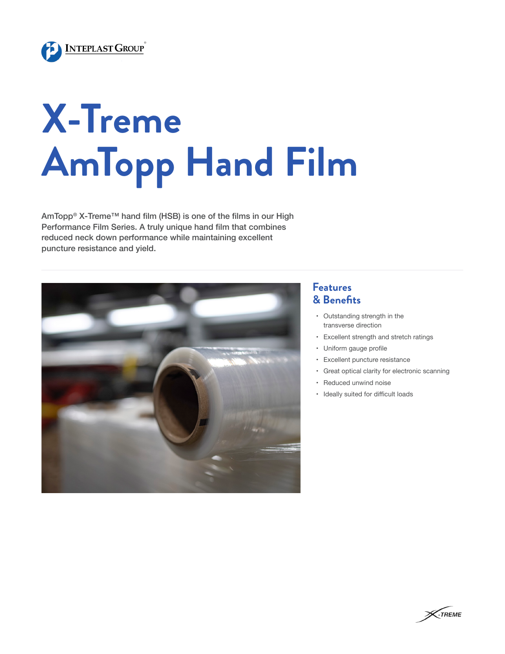

## **X-Treme AmTopp Hand Film**

AmTopp<sup>®</sup> X-Treme™ hand film (HSB) is one of the films in our High Performance Film Series. A truly unique hand film that combines reduced neck down performance while maintaining excellent puncture resistance and yield.



## **Features & Benefits**

- • Outstanding strength in the transverse direction
- • Excellent strength and stretch ratings
- • Uniform gauge profile
- • Excellent puncture resistance
- • Great optical clarity for electronic scanning
- • Reduced unwind noise
- • Ideally suited for difficult loads